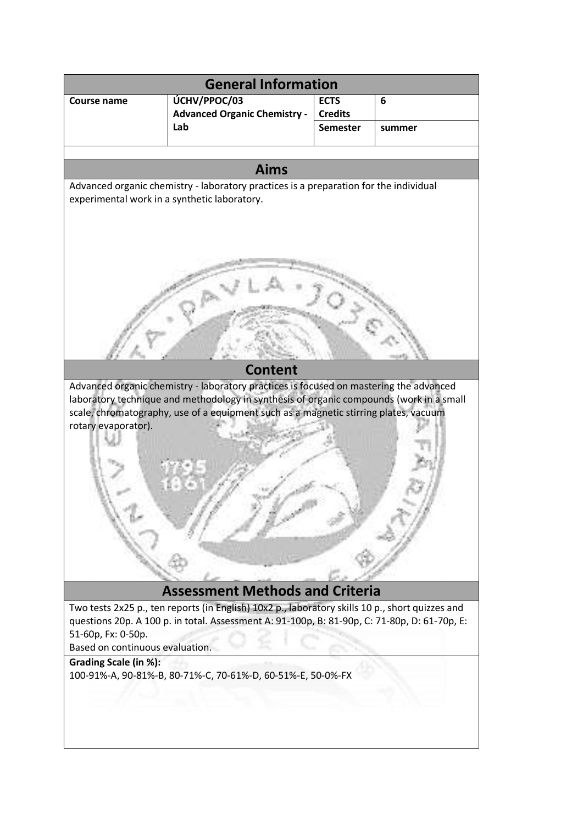